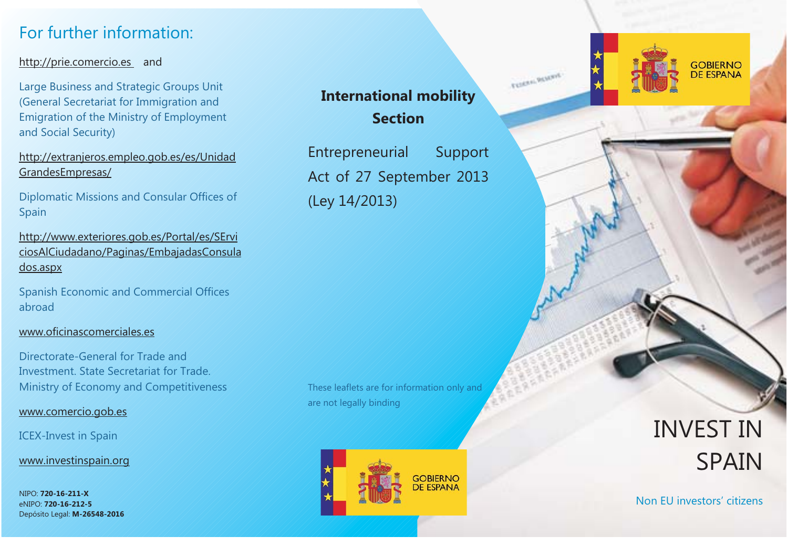# For further information:

## http://prie.comercio.es and

Large Business and Strategic Groups Unit (General Secretariat for Immigration and Emigration of the Ministry of Employment and Social Security)

http://extranjeros.empleo.gob.es/es/Unidad GrandesEmpresas/

Diplomatic Missions and Consular Offices of Spain

http://www.exteriores.gob.es/Portal/es/SErvi ciosAlCiudadano/Paginas/EmbajadasConsula dos.aspx

Spanish Economic and Commercial Offices abroad

#### www.oficinascomerciales.es

Directorate-General for Trade andInvestment. State Secretariat for Trade.Ministry of Economy and Competitiveness

www.comercio.gob.es

ICEX-Invest in Spain

www.investinspain.org

NIPO: **720-16-211-X**eNIPO: **720-16-212-5** Depósito Legal: **M-26548-2016**

# **International mobility Section**

TOMA ROAD

Entrepreneurial Support Act of 27 September 2013 (Ley 14/2013)

These leaflets are for information only and are not legally binding



INVEST INSPAIN

**GOBIERNO** 

**DE ESPANA** 

Non EU investors' citizens